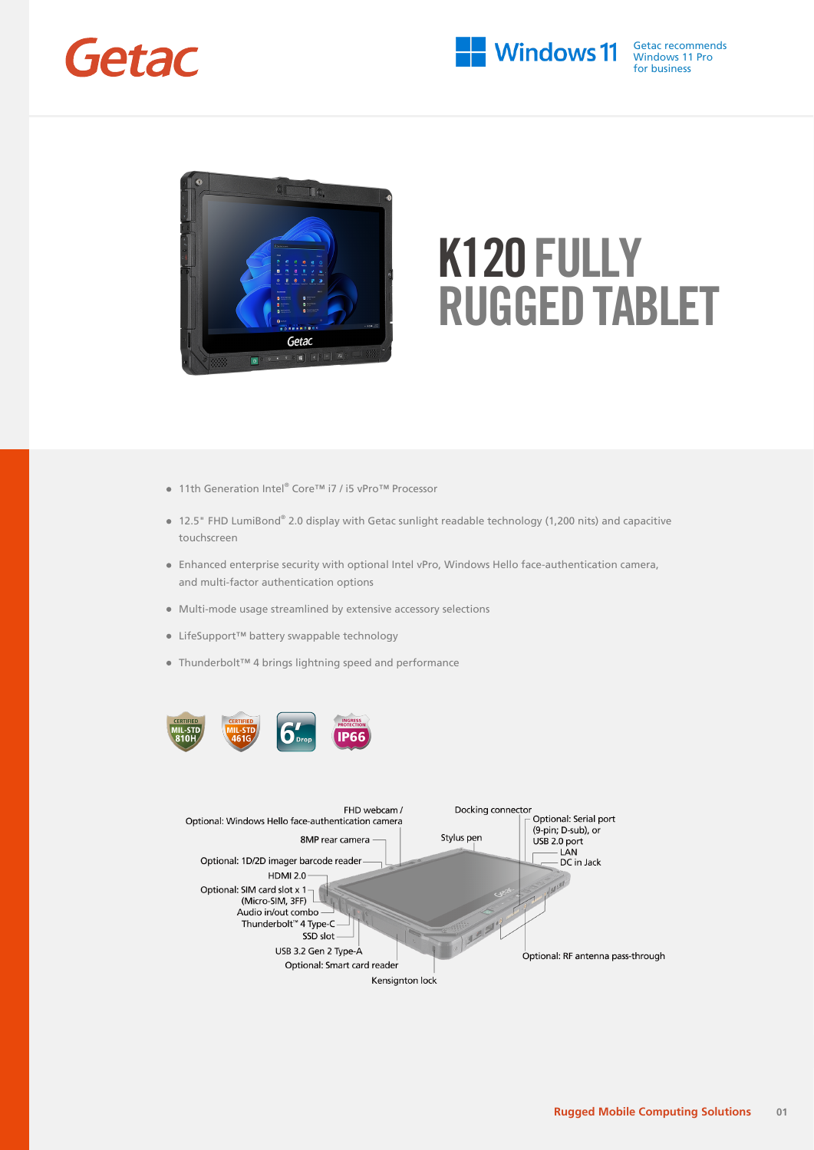



- 11th Generation Intel® Core™ i7 / i5 vPro™ Processor
- 12.5" FHD LumiBond® 2.0 display with Getac sunlight readable technology (1,200 nits) and capacitive touchscreen
- Enhanced enterprise security with optional Intel vPro, Windows Hello face-authentication camera, and multi-factor authentication options
- Multi-mode usage streamlined by extensive accessory selections
- LifeSupport™ battery swappable technology
- Thunderbolt™ 4 brings lightning speed and performance



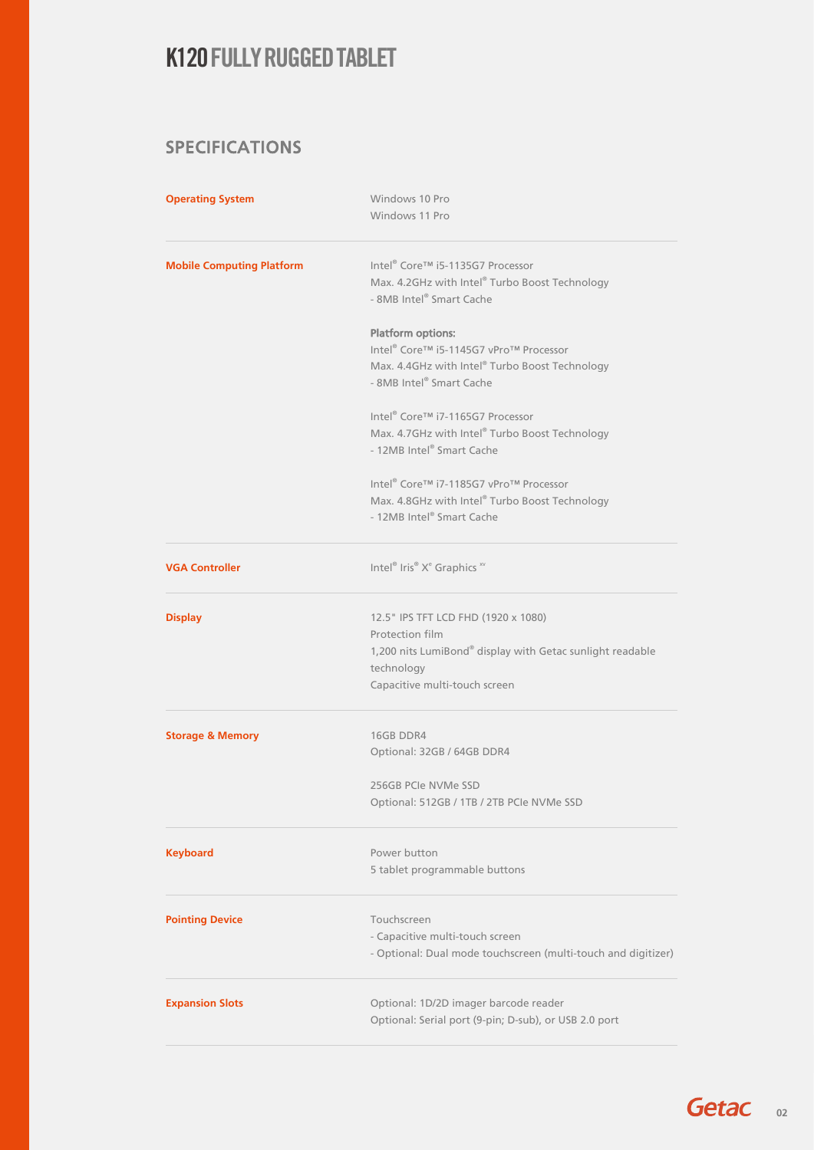### SPECIFICATIONS

| <b>Operating System</b>          | Windows 10 Pro<br>Windows 11 Pro                                                                                           |  |  |  |
|----------------------------------|----------------------------------------------------------------------------------------------------------------------------|--|--|--|
| <b>Mobile Computing Platform</b> | Intel <sup>®</sup> Core™ i5-1135G7 Processor<br>Max. 4.2GHz with Intel® Turbo Boost Technology<br>- 8MB Intel® Smart Cache |  |  |  |
|                                  | <b>Platform options:</b>                                                                                                   |  |  |  |
|                                  | Intel® Core™ i5-1145G7 vPro™ Processor                                                                                     |  |  |  |
|                                  | Max. 4.4GHz with Intel® Turbo Boost Technology<br>- 8MB Intel® Smart Cache                                                 |  |  |  |
|                                  | Intel® Core™ i7-1165G7 Processor                                                                                           |  |  |  |
|                                  | Max. 4.7GHz with Intel® Turbo Boost Technology<br>- 12MB Intel® Smart Cache                                                |  |  |  |
|                                  | Intel® Core™ i7-1185G7 vPro™ Processor                                                                                     |  |  |  |
|                                  | Max. 4.8GHz with Intel® Turbo Boost Technology<br>- 12MB Intel® Smart Cache                                                |  |  |  |
| <b>VGA Controller</b>            | Intel® Iris® Xe Graphics xv                                                                                                |  |  |  |
| <b>Display</b>                   | 12.5" IPS TFT LCD FHD (1920 x 1080)                                                                                        |  |  |  |
|                                  | Protection film                                                                                                            |  |  |  |
|                                  | 1,200 nits LumiBond® display with Getac sunlight readable<br>technology                                                    |  |  |  |
|                                  | Capacitive multi-touch screen                                                                                              |  |  |  |
| <b>Storage &amp; Memory</b>      | 16GB DDR4                                                                                                                  |  |  |  |
|                                  | Optional: 32GB / 64GB DDR4                                                                                                 |  |  |  |
|                                  | 256GB PCIe NVMe SSD                                                                                                        |  |  |  |
|                                  | Optional: 512GB / 1TB / 2TB PCIe NVMe SSD                                                                                  |  |  |  |
| <b>Keyboard</b>                  | Power button                                                                                                               |  |  |  |
|                                  | 5 tablet programmable buttons                                                                                              |  |  |  |
| <b>Pointing Device</b>           | Touchscreen                                                                                                                |  |  |  |
|                                  | - Capacitive multi-touch screen<br>- Optional: Dual mode touchscreen (multi-touch and digitizer)                           |  |  |  |
| <b>Expansion Slots</b>           | Optional: 1D/2D imager barcode reader                                                                                      |  |  |  |
|                                  | Optional: Serial port (9-pin; D-sub), or USB 2.0 port                                                                      |  |  |  |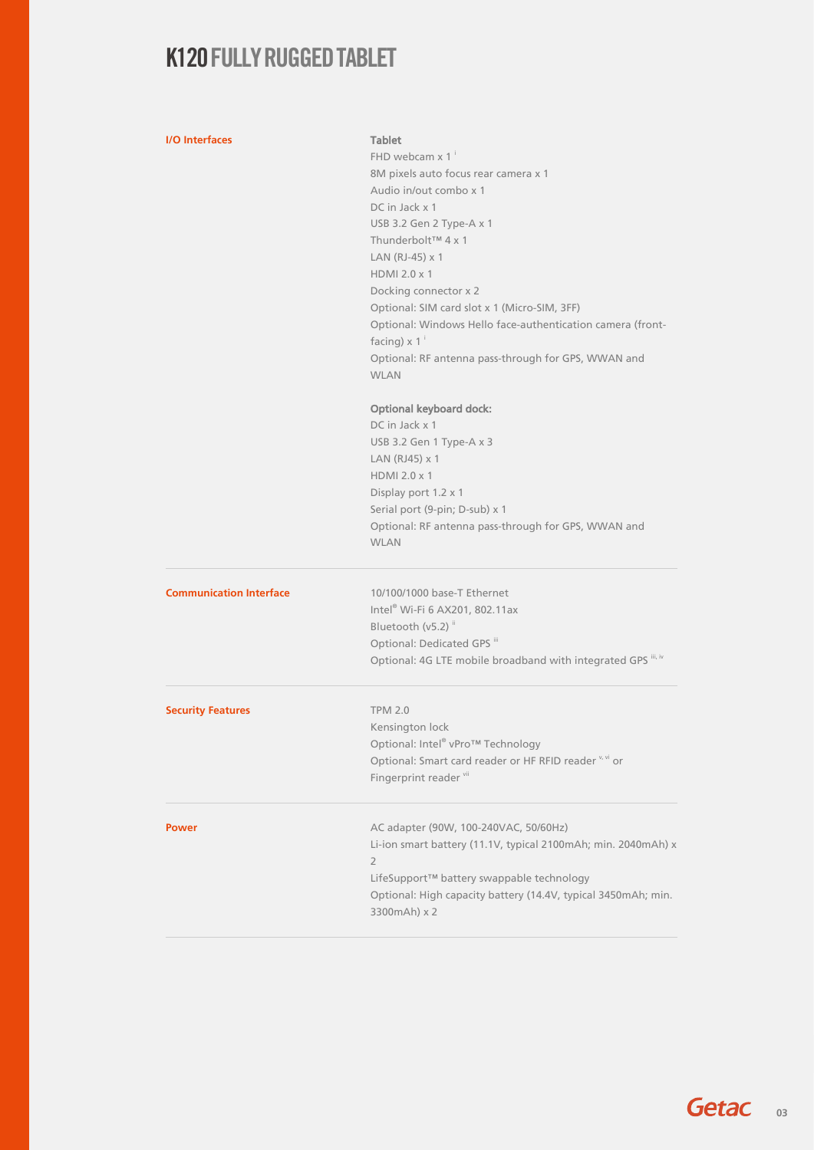### **I/O Interfaces** Tablet

| ניס ווונכו ומנכא               |                                                               |  |  |  |
|--------------------------------|---------------------------------------------------------------|--|--|--|
|                                | FHD webcam x 1 <sup>i</sup>                                   |  |  |  |
|                                | 8M pixels auto focus rear camera x 1                          |  |  |  |
|                                | Audio in/out combo x 1                                        |  |  |  |
|                                |                                                               |  |  |  |
|                                | DC in Jack x 1                                                |  |  |  |
|                                | USB 3.2 Gen 2 Type-A x 1                                      |  |  |  |
|                                | Thunderbolt™ 4 x 1                                            |  |  |  |
|                                | LAN (RJ-45) x 1                                               |  |  |  |
|                                | HDMI 2.0 x 1                                                  |  |  |  |
|                                |                                                               |  |  |  |
|                                | Docking connector x 2                                         |  |  |  |
|                                | Optional: SIM card slot x 1 (Micro-SIM, 3FF)                  |  |  |  |
|                                | Optional: Windows Hello face-authentication camera (front-    |  |  |  |
|                                | facing) $\times$ 1 <sup>i</sup>                               |  |  |  |
|                                | Optional: RF antenna pass-through for GPS, WWAN and           |  |  |  |
|                                | <b>WLAN</b>                                                   |  |  |  |
|                                |                                                               |  |  |  |
|                                |                                                               |  |  |  |
|                                | <b>Optional keyboard dock:</b>                                |  |  |  |
|                                | DC in Jack x 1                                                |  |  |  |
|                                | USB 3.2 Gen 1 Type-A x 3                                      |  |  |  |
|                                | LAN (RJ45) x 1                                                |  |  |  |
|                                |                                                               |  |  |  |
|                                | HDMI 2.0 x 1                                                  |  |  |  |
|                                | Display port 1.2 x 1                                          |  |  |  |
|                                | Serial port (9-pin; D-sub) x 1                                |  |  |  |
|                                | Optional: RF antenna pass-through for GPS, WWAN and           |  |  |  |
|                                | <b>WLAN</b>                                                   |  |  |  |
|                                |                                                               |  |  |  |
|                                |                                                               |  |  |  |
| <b>Communication Interface</b> | 10/100/1000 base-T Ethernet                                   |  |  |  |
|                                | Intel® Wi-Fi 6 AX201, 802.11ax                                |  |  |  |
|                                |                                                               |  |  |  |
|                                | Bluetooth (v5.2) <sup>ii</sup>                                |  |  |  |
|                                | Optional: Dedicated GPS "                                     |  |  |  |
|                                | Optional: 4G LTE mobile broadband with integrated GPS iii, iv |  |  |  |
|                                |                                                               |  |  |  |
| <b>Security Features</b>       | <b>TPM 2.0</b>                                                |  |  |  |
|                                |                                                               |  |  |  |
|                                | Kensington lock                                               |  |  |  |
|                                | Optional: Intel® vPro™ Technology                             |  |  |  |
|                                | Optional: Smart card reader or HF RFID reader v, vi or        |  |  |  |
|                                | Fingerprint reader vil                                        |  |  |  |
|                                |                                                               |  |  |  |
|                                |                                                               |  |  |  |
| Power                          | AC adapter (90W, 100-240VAC, 50/60Hz)                         |  |  |  |
|                                | Li-ion smart battery (11.1V, typical 2100mAh; min. 2040mAh) x |  |  |  |
|                                | $\overline{2}$                                                |  |  |  |
|                                | LifeSupport™ battery swappable technology                     |  |  |  |
|                                |                                                               |  |  |  |
|                                |                                                               |  |  |  |
|                                | Optional: High capacity battery (14.4V, typical 3450mAh; min. |  |  |  |
|                                | 3300mAh) x 2                                                  |  |  |  |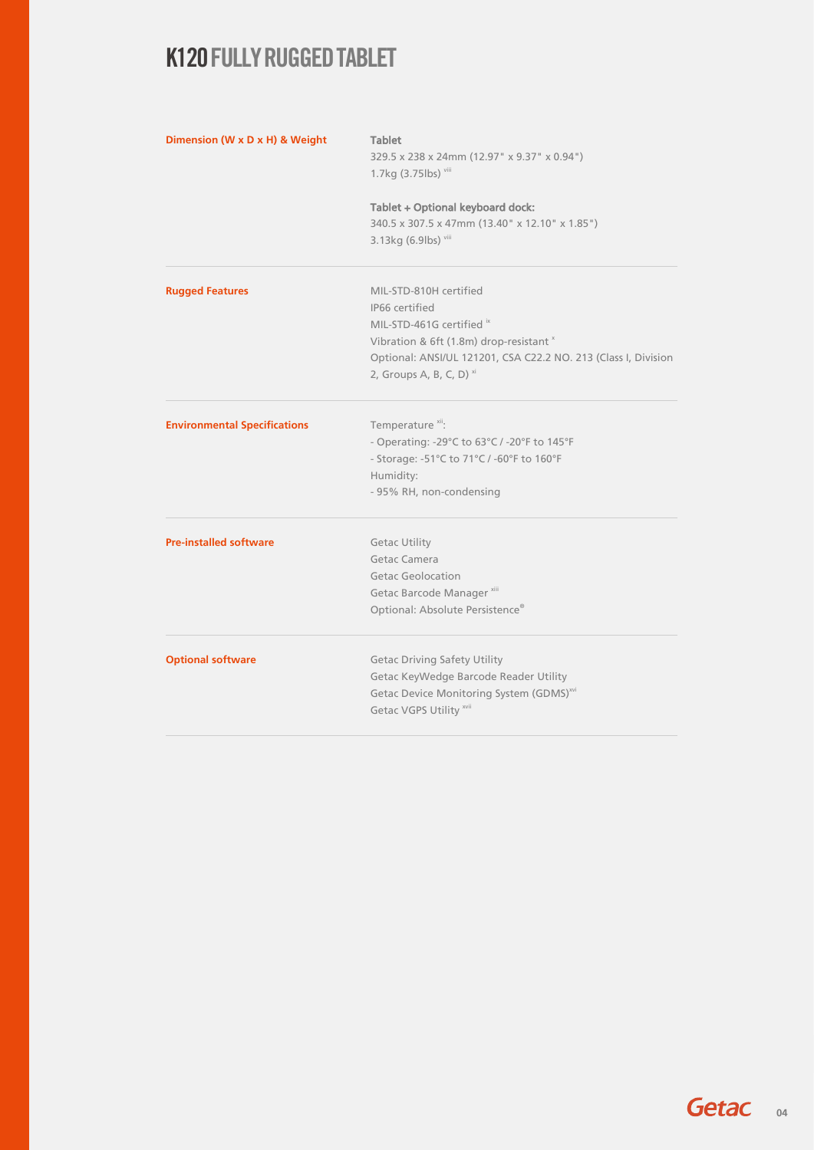| Dimension (W x D x H) & Weight      | <b>Tablet</b><br>329.5 x 238 x 24mm (12.97" x 9.37" x 0.94")           |  |  |
|-------------------------------------|------------------------------------------------------------------------|--|--|
|                                     | 1.7kg (3.75lbs) viii                                                   |  |  |
|                                     | Tablet + Optional keyboard dock:                                       |  |  |
|                                     | 340.5 x 307.5 x 47mm (13.40" x 12.10" x 1.85")<br>3.13kg (6.9lbs) viii |  |  |
| <b>Rugged Features</b>              | MIL-STD-810H certified                                                 |  |  |
|                                     | IP66 certified                                                         |  |  |
|                                     | MIL-STD-461G certified ix                                              |  |  |
|                                     | Vibration & 6ft (1.8m) drop-resistant ×                                |  |  |
|                                     | Optional: ANSI/UL 121201, CSA C22.2 NO. 213 (Class I, Division         |  |  |
|                                     | 2, Groups A, B, C, D) $^{xi}$                                          |  |  |
| <b>Environmental Specifications</b> | Temperature <sup>xii</sup> :                                           |  |  |
|                                     | - Operating: -29°C to 63°C / -20°F to 145°F                            |  |  |
|                                     | - Storage: -51°C to 71°C / -60°F to 160°F                              |  |  |
|                                     | Humidity:                                                              |  |  |
|                                     | - 95% RH, non-condensing                                               |  |  |
| <b>Pre-installed software</b>       | <b>Getac Utility</b>                                                   |  |  |
|                                     | Getac Camera                                                           |  |  |
|                                     | <b>Getac Geolocation</b>                                               |  |  |
|                                     | Getac Barcode Manager <sup>xiii</sup>                                  |  |  |
|                                     | Optional: Absolute Persistence®                                        |  |  |
| <b>Optional software</b>            | <b>Getac Driving Safety Utility</b>                                    |  |  |
|                                     | Getac KeyWedge Barcode Reader Utility                                  |  |  |
|                                     | Getac Device Monitoring System (GDMS) <sup>xvi</sup>                   |  |  |
|                                     | Getac VGPS Utility xvii                                                |  |  |
|                                     |                                                                        |  |  |

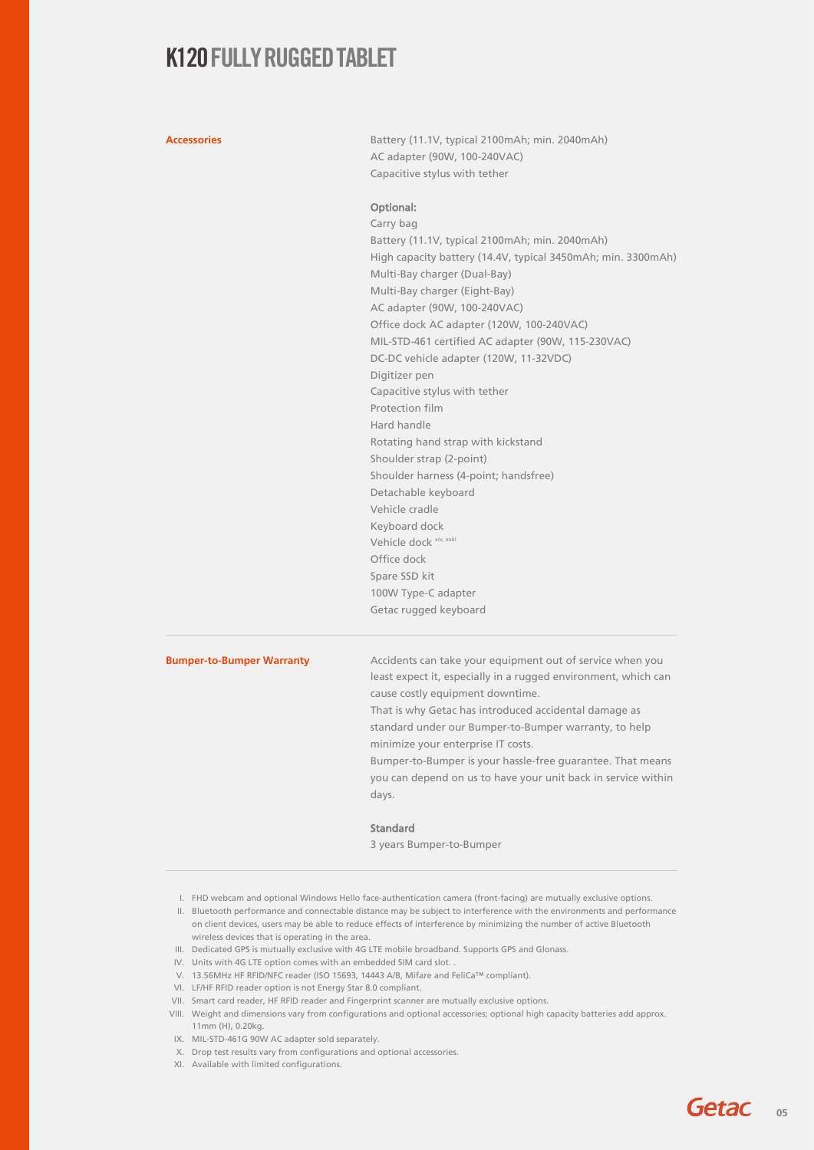Accessories **Accessories** Battery (11.1V, typical 2100mAh; min. 2040mAh) AC adapter (90W, 100-240VAC) Capacitive stylus with tether

#### Optional:

Carry bag Battery (11.1V, typical 2100mAh; min. 2040mAh) High capacity battery (14.4V, typical 3450mAh; min. 3300mAh) Multi-Bay charger (Dual-Bay) Multi-Bay charger (Eight-Bay) AC adapter (90W, 100-240VAC) Office dock AC adapter (120W, 100-240VAC) MIL-STD-461 certified AC adapter (90W, 115-230VAC) DC-DC vehicle adapter (120W, 11-32VDC) Digitizer pen Capacitive stylus with tether Protection film Hard handle Rotating hand strap with kickstand Shoulder strap (2-point) Shoulder harness (4-point; handsfree) Detachable keyboard Vehicle cradle Keyboard dock Vehicle dock xiv, xviii Office dock Spare SSD kit 100W Type-C adapter Getac rugged keyboard

**Bumper-to-Bumper Warranty** Accidents can take your equipment out of service when you least expect it, especially in a rugged environment, which can cause costly equipment downtime.

> That is why Getac has introduced accidental damage as standard under our Bumper-to-Bumper warranty, to help minimize your enterprise IT costs.

Bumper-to-Bumper is your hassle-free guarantee. That means you can depend on us to have your unit back in service within days.

#### Standard

3 years Bumper-to-Bumper

- I. FHD webcam and optional Windows Hello face-authentication camera (front-facing) are mutually exclusive options.
- II. Bluetooth performance and connectable distance may be subject to interference with the environments and performance on client devices, users may be able to reduce effects of interference by minimizing the number of active Bluetooth wireless devices that is operating in the area.
- III. Dedicated GPS is mutually exclusive with 4G LTE mobile broadband. Supports GPS and Glonass.
- IV. Units with 4G LTE option comes with an embedded SIM card slot. .
- V. 13.56MHz HF RFID/NFC reader (ISO 15693, 14443 A/B, Mifare and FeliCa™ compliant).
- VI. LF/HF RFID reader option is not Energy Star 8.0 compliant.
- VII. Smart card reader, HF RFID reader and Fingerprint scanner are mutually exclusive options.
- VIII. Weight and dimensions vary from configurations and optional accessories; optional high capacity batteries add approx. 11mm (H), 0.20kg.
- IX. MIL-STD-461G 90W AC adapter sold separately.
- X. Drop test results vary from configurations and optional accessories.
- XI. Available with limited configurations.